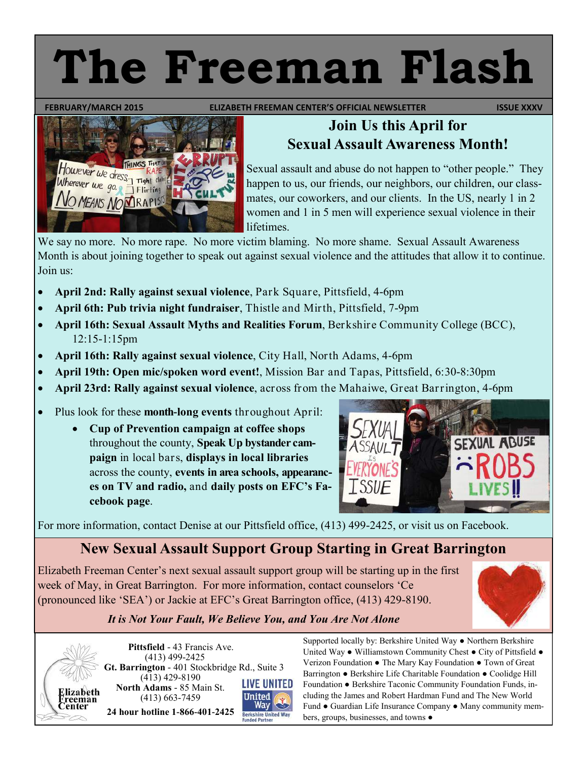# **The Freeman Flash**

**FEBRUARY/MARCH 2015 ELIZABETH FREEMAN CENTER'S OFFICIAL NEWSLETTER ISSUE XXXV** 



#### **Join Us this April for Sexual Assault Awareness Month!**

Sexual assault and abuse do not happen to "other people." They happen to us, our friends, our neighbors, our children, our classmates, our coworkers, and our clients. In the US, nearly 1 in 2 women and 1 in 5 men will experience sexual violence in their lifetimes.

We say no more. No more rape. No more victim blaming. No more shame. Sexual Assault Awareness Month is about joining together to speak out against sexual violence and the attitudes that allow it to continue. Join us:

- **April 2nd: Rally against sexual violence**, Park Square, Pittsfield, 4-6pm
- **April 6th: Pub trivia night fundraiser**, Thistle and Mirth, Pittsfield, 7-9pm
- **April 16th: Sexual Assault Myths and Realities Forum**, Berkshire Community College (BCC), 12:15-1:15pm
- **April 16th: Rally against sexual violence**, City Hall, North Adams, 4-6pm
- **April 19th: Open mic/spoken word event!**, Mission Bar and Tapas, Pittsfield, 6:30-8:30pm
- **April 23rd: Rally against sexual violence**, across from the Mahaiwe, Great Barrington, 4-6pm
- Plus look for these **month-long events** throughout April:
	- **Cup of Prevention campaign at coffee shops**  throughout the county, **Speak Up bystander campaign** in local bars, **displays in local libraries**  across the county, **events in area schools, appearances on TV and radio,** and **daily posts on EFC's Facebook page**.



For more information, contact Denise at our Pittsfield office, (413) 499-2425, or visit us on Facebook.

### **New Sexual Assault Support Group Starting in Great Barrington**

Elizabeth Freeman Center's next sexual assault support group will be starting up in the first week of May, in Great Barrington. For more information, contact counselors 'Ce (pronounced like 'SEA') or Jackie at EFC's Great Barrington office, (413) 429-8190.



#### *It is Not Your Fault, We Believe You, and You Are Not Alone*



 **Pittsfield** - 43 Francis Ave. (413) 499-2425 **Gt. Barrington** - 401 Stockbridge Rd., Suite 3 (413) 429-8190 **North Adams** - 85 Main St. (413) 663-7459 **United** Way **24 hour hotline 1-866-401-2425**



Supported locally by: Berkshire United Way ● Northern Berkshire United Way ● Williamstown Community Chest ● City of Pittsfield ● Verizon Foundation ● The Mary Kay Foundation ● Town of Great Barrington ● Berkshire Life Charitable Foundation ● Coolidge Hill Foundation ● Berkshire Taconic Community Foundation Funds, including the James and Robert Hardman Fund and The New World Fund ● Guardian Life Insurance Company ● Many community members, groups, businesses, and towns ●